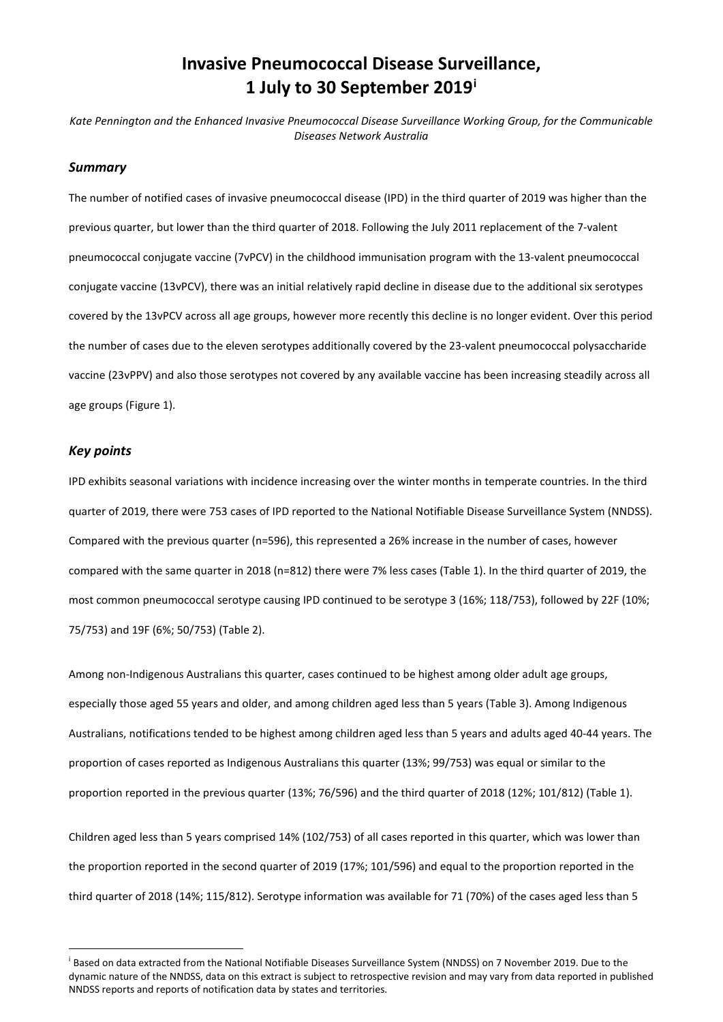# **Invasive Pneumococcal Disease Surveillance, 1 July to 30 September 2019[i](#page-0-0)**

*Kate Pennington and the Enhanced Invasive Pneumococcal Disease Surveillance Working Group, for the Communicable Diseases Network Australia*

#### *Summary*

The number of notified cases of invasive pneumococcal disease (IPD) in the third quarter of 2019 was higher than the previous quarter, but lower than the third quarter of 2018. Following the July 2011 replacement of the 7-valent pneumococcal conjugate vaccine (7vPCV) in the childhood immunisation program with the 13-valent pneumococcal conjugate vaccine (13vPCV), there was an initial relatively rapid decline in disease due to the additional six serotypes covered by the 13vPCV across all age groups, however more recently this decline is no longer evident. Over this period the number of cases due to the eleven serotypes additionally covered by the 23-valent pneumococcal polysaccharide vaccine (23vPPV) and also those serotypes not covered by any available vaccine has been increasing steadily across all age groups [\(Figure 1\)](#page-2-0).

### *Key points*

IPD exhibits seasonal variations with incidence increasing over the winter months in temperate countries. In the third quarter of 2019, there were 753 cases of IPD reported to the National Notifiable Disease Surveillance System (NNDSS). Compared with the previous quarter (n=596), this represented a 26% increase in the number of cases, however compared with the same quarter in 2018 (n=812) there were 7% less cases [\(Table 1\)](#page-2-1). In the third quarter of 2019, the most common pneumococcal serotype causing IPD continued to be serotype 3 (16%; 118/753), followed by 22F (10%; 75/753) and 19F (6%; 50/753) [\(Table](#page-3-0) 2).

Among non-Indigenous Australians this quarter, cases continued to be highest among older adult age groups, especially those aged 55 years and older, and among children aged less than 5 years [\(Table](#page-4-0) 3). Among Indigenous Australians, notifications tended to be highest among children aged less than 5 years and adults aged 40-44 years. The proportion of cases reported as Indigenous Australians this quarter (13%; 99/753) was equal or similar to the proportion reported in the previous quarter (13%; 76/596) and the third quarter of 2018 (12%; 101/812) [\(Table 1\)](#page-2-1).

Children aged less than 5 years comprised 14% (102/753) of all cases reported in this quarter, which was lower than the proportion reported in the second quarter of 2019 (17%; 101/596) and equal to the proportion reported in the third quarter of 2018 (14%; 115/812). Serotype information was available for 71 (70%) of the cases aged less than 5

<span id="page-0-0"></span><sup>&</sup>lt;sup>i</sup> Based on data extracted from the National Notifiable Diseases Surveillance System (NNDSS) on 7 November 2019. Due to the dynamic nature of the NNDSS, data on this extract is subject to retrospective revision and may vary from data reported in published NNDSS reports and reports of notification data by states and territories.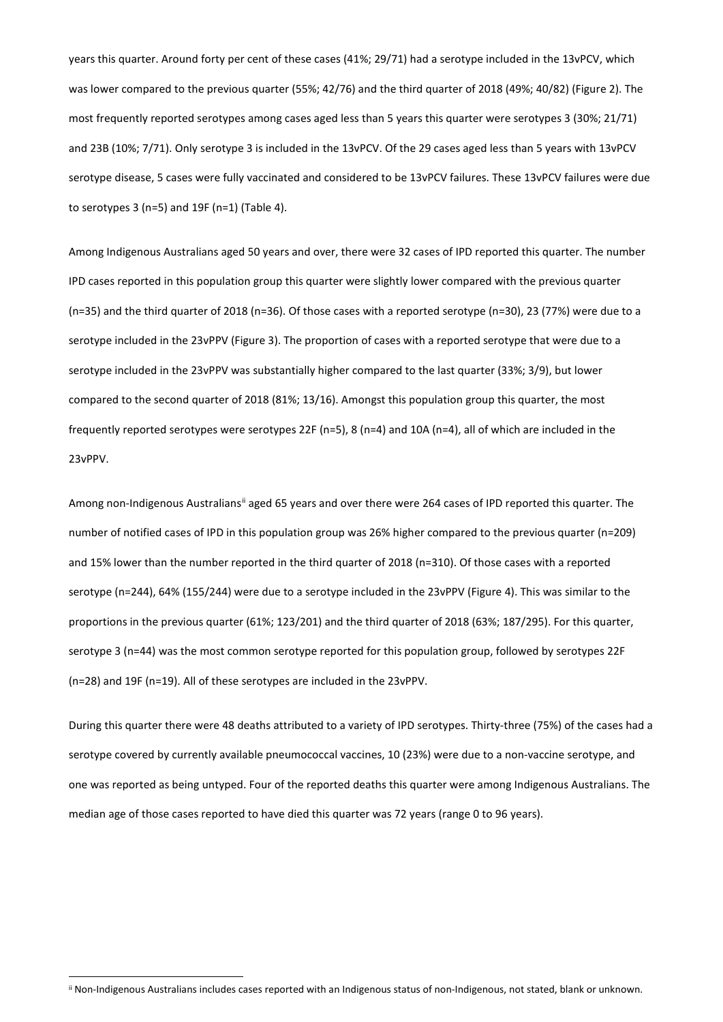years this quarter. Around forty per cent of these cases (41%; 29/71) had a serotype included in the 13vPCV, which was lower compared to the previous quarter (55%; 42/76) and the third quarter of 2018 (49%; 40/82) [\(Figure 2\)](#page-4-1). The most frequently reported serotypes among cases aged less than 5 years this quarter were serotypes 3 (30%; 21/71) and 23B (10%; 7/71). Only serotype 3 is included in the 13vPCV. Of the 29 cases aged less than 5 years with 13vPCV serotype disease, 5 cases were fully vaccinated and considered to be 13vPCV failures. These 13vPCV failures were due to serotypes 3 (n=5) and 19F (n=1) [\(Table 4\)](#page-5-0).

Among Indigenous Australians aged 50 years and over, there were 32 cases of IPD reported this quarter. The number IPD cases reported in this population group this quarter were slightly lower compared with the previous quarter (n=35) and the third quarter of 2018 (n=36). Of those cases with a reported serotype (n=30), 23 (77%) were due to a serotype included in the 23vPPV [\(Figure 3\)](#page-5-1). The proportion of cases with a reported serotype that were due to a serotype included in the 23vPPV was substantially higher compared to the last quarter (33%; 3/9), but lower compared to the second quarter of 2018 (81%; 13/16). Amongst this population group this quarter, the most frequently reported serotypes were serotypes 22F (n=5), 8 (n=4) and 10A (n=4), all of which are included in the 23vPPV.

Among non-Indigenous Australians<sup>[ii](#page-1-0)</sup> aged 65 years and over there were 264 cases of IPD reported this quarter. The number of notified cases of IPD in this population group was 26% higher compared to the previous quarter (n=209) and 15% lower than the number reported in the third quarter of 2018 (n=310). Of those cases with a reported serotype (n=244), 64% (155/244) were due to a serotype included in the 23vPPV [\(Figure](#page-5-2) 4). This was similar to the proportions in the previous quarter (61%; 123/201) and the third quarter of 2018 (63%; 187/295). For this quarter, serotype 3 (n=44) was the most common serotype reported for this population group, followed by serotypes 22F (n=28) and 19F (n=19). All of these serotypes are included in the 23vPPV.

During this quarter there were 48 deaths attributed to a variety of IPD serotypes. Thirty-three (75%) of the cases had a serotype covered by currently available pneumococcal vaccines, 10 (23%) were due to a non-vaccine serotype, and one was reported as being untyped. Four of the reported deaths this quarter were among Indigenous Australians. The median age of those cases reported to have died this quarter was 72 years (range 0 to 96 years).

<span id="page-1-0"></span>ii Non-Indigenous Australians includes cases reported with an Indigenous status of non-Indigenous, not stated, blank or unknown.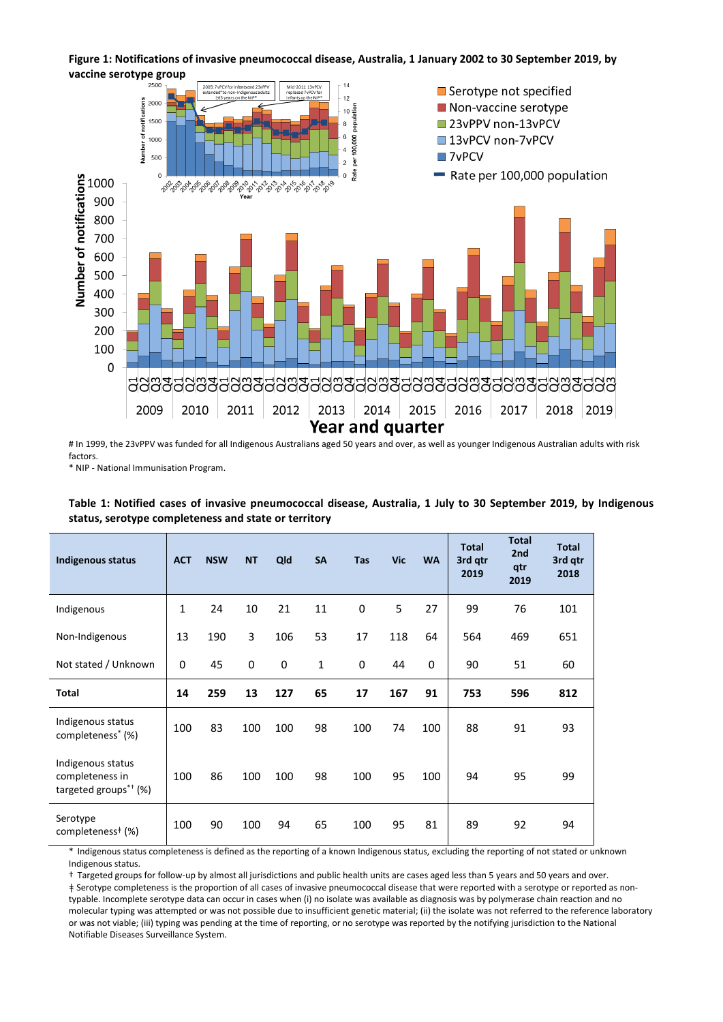<span id="page-2-0"></span>**Figure 1: Notifications of invasive pneumococcal disease, Australia, 1 January 2002 to 30 September 2019, by vaccine serotype group** 



# In 1999, the 23vPPV was funded for all Indigenous Australians aged 50 years and over, as well as younger Indigenous Australian adults with risk factors.

\* NIP - National Immunisation Program.

| <b>Indigenous status</b>                                                               | <b>ACT</b> | <b>NSW</b> | <b>NT</b>   | Qld | <b>SA</b> | <b>Tas</b> | <b>Vic</b> | <b>WA</b>   | <b>Total</b><br>3rd qtr<br>2019 | <b>Total</b><br>2 <sub>nd</sub><br>qtr<br>2019 | <b>Total</b><br>3rd gtr<br>2018 |
|----------------------------------------------------------------------------------------|------------|------------|-------------|-----|-----------|------------|------------|-------------|---------------------------------|------------------------------------------------|---------------------------------|
| Indigenous                                                                             | 1          | 24         | 10          | 21  | 11        | 0          | 5          | 27          | 99                              | 76                                             | 101                             |
| Non-Indigenous                                                                         | 13         | 190        | 3           | 106 | 53        | 17         | 118        | 64          | 564                             | 469                                            | 651                             |
| Not stated / Unknown                                                                   | 0          | 45         | $\mathbf 0$ | 0   | 1         | 0          | 44         | $\mathbf 0$ | 90                              | 51                                             | 60                              |
| Total                                                                                  | 14         | 259        | 13          | 127 | 65        | 17         | 167        | 91          | 753                             | 596                                            | 812                             |
| Indigenous status<br>completeness <sup>*</sup> (%)                                     | 100        | 83         | 100         | 100 | 98        | 100        | 74         | 100         | 88                              | 91                                             | 93                              |
| Indigenous status<br>completeness in<br>targeted groups <sup><math>*</math>†</sup> (%) | 100        | 86         | 100         | 100 | 98        | 100        | 95         | 100         | 94                              | 95                                             | 99                              |
| Serotype<br>completeness <sup>#</sup> (%)                                              | 100        | 90         | 100         | 94  | 65        | 100        | 95         | 81          | 89                              | 92                                             | 94                              |

<span id="page-2-1"></span>**Table 1: Notified cases of invasive pneumococcal disease, Australia, 1 July to 30 September 2019, by Indigenous status, serotype completeness and state or territory**

Indigenous status completeness is defined as the reporting of a known Indigenous status, excluding the reporting of not stated or unknown Indigenous status.

† Targeted groups for follow-up by almost all jurisdictions and public health units are cases aged less than 5 years and 50 years and over.

ǂ Serotype completeness is the proportion of all cases of invasive pneumococcal disease that were reported with a serotype or reported as nontypable. Incomplete serotype data can occur in cases when (i) no isolate was available as diagnosis was by polymerase chain reaction and no molecular typing was attempted or was not possible due to insufficient genetic material; (ii) the isolate was not referred to the reference laboratory or was not viable; (iii) typing was pending at the time of reporting, or no serotype was reported by the notifying jurisdiction to the National Notifiable Diseases Surveillance System.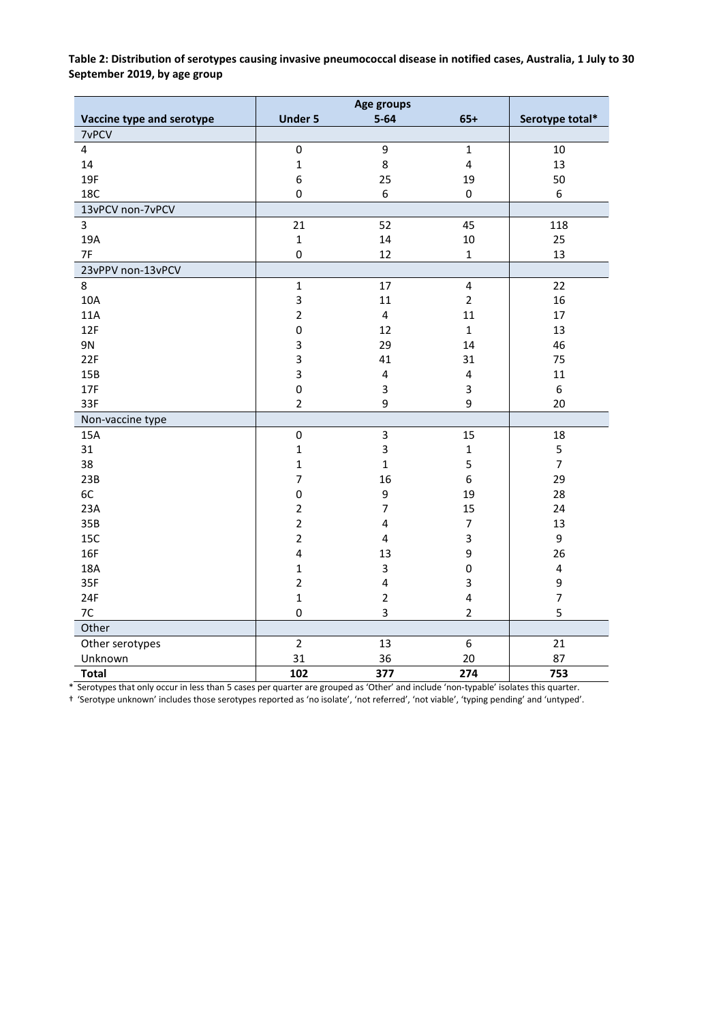<span id="page-3-0"></span>**Table 2: Distribution of serotypes causing invasive pneumococcal disease in notified cases, Australia, 1 July to 30 September 2019, by age group**

| Vaccine type and serotype | <b>Under 5</b> | $5 - 64$                | $65+$                   | Serotype total*         |
|---------------------------|----------------|-------------------------|-------------------------|-------------------------|
| 7vPCV                     |                |                         |                         |                         |
| 4                         | 0              | 9                       | $\mathbf{1}$            | 10                      |
| 14                        | $\mathbf 1$    | 8                       | $\overline{\mathbf{4}}$ | 13                      |
| 19F                       | 6              | 25                      | 19                      | 50                      |
| 18C                       | 0              | 6                       | $\pmb{0}$               | 6                       |
| 13vPCV non-7vPCV          |                |                         |                         |                         |
| 3                         | 21             | 52                      | 45                      | 118                     |
| 19A                       | $\mathbf{1}$   | 14                      | 10                      | 25                      |
| 7F                        | 0              | 12                      | $\mathbf{1}$            | 13                      |
| 23vPPV non-13vPCV         |                |                         |                         |                         |
| 8                         | $\mathbf 1$    | 17                      | $\overline{\mathbf{4}}$ | 22                      |
| 10A                       | 3              | 11                      | $\overline{2}$          | 16                      |
| 11A                       | $\overline{2}$ | $\overline{\mathbf{4}}$ | 11                      | 17                      |
| 12F                       | 0              | 12                      | $\mathbf{1}$            | 13                      |
| 9N                        | 3              | 29                      | 14                      | 46                      |
| 22F                       | 3              | 41                      | 31                      | 75                      |
| 15B                       | 3              | $\pmb{4}$               | $\overline{\mathbf{4}}$ | 11                      |
| 17F                       | $\mathbf 0$    | 3                       | 3                       | 6                       |
| 33F                       | $\overline{2}$ | 9                       | 9                       | 20                      |
| Non-vaccine type          |                |                         |                         |                         |
| 15A                       | 0              | 3                       | 15                      | 18                      |
| 31                        | $\mathbf 1$    | 3                       | $\mathbf 1$             | 5                       |
| 38                        | $\mathbf{1}$   | $\mathbf{1}$            | 5                       | $\overline{7}$          |
| 23B                       | $\overline{7}$ | 16                      | 6                       | 29                      |
| 6C                        | 0              | 9                       | 19                      | 28                      |
| 23A                       | $\overline{2}$ | $\overline{7}$          | 15                      | 24                      |
| 35B                       | $\overline{2}$ | 4                       | $\overline{7}$          | 13                      |
| 15C                       | $\overline{2}$ | $\overline{\mathbf{4}}$ | 3                       | 9                       |
| 16F                       | 4              | 13                      | 9                       | 26                      |
| 18A                       | $\mathbf{1}$   | 3                       | 0                       | $\overline{\mathbf{4}}$ |
| 35F                       | $\overline{2}$ | 4                       | 3                       | 9                       |
| 24F                       | $\mathbf{1}$   | $\overline{2}$          | $\overline{\mathbf{4}}$ | $\overline{7}$          |
| 7C                        | 0              | 3                       | $\overline{2}$          | 5                       |
| Other                     |                |                         |                         |                         |
| Other serotypes           | $\overline{2}$ | 13                      | 6                       | 21                      |
| Unknown                   | 31             | 36                      | 20                      | 87                      |
| <b>Total</b>              | 102            | 377                     | 274                     | 753                     |

\* Serotypes that only occur in less than 5 cases per quarter are grouped as 'Other' and include 'non-typable' isolates this quarter.

† 'Serotype unknown' includes those serotypes reported as 'no isolate', 'not referred', 'not viable', 'typing pending' and 'untyped'.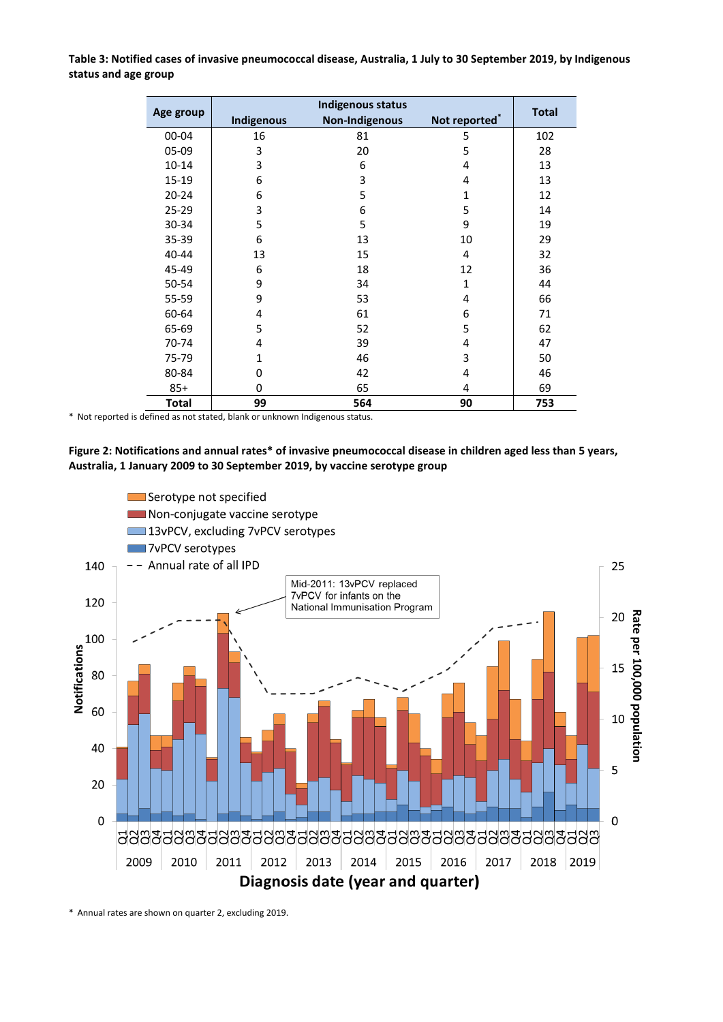<span id="page-4-0"></span>**Table 3: Notified cases of invasive pneumococcal disease, Australia, 1 July to 30 September 2019, by Indigenous status and age group**

|              |            | <b>Total</b>          |               |     |
|--------------|------------|-----------------------|---------------|-----|
| Age group    | Indigenous | <b>Non-Indigenous</b> | Not reported* |     |
| 00-04        | 16         | 81                    | 5             | 102 |
| 05-09        | 3          | 20                    | 5             | 28  |
| $10 - 14$    | 3          | 6                     | 4             | 13  |
| 15-19        | 6          | 3                     | 4             | 13  |
| $20 - 24$    | 6          | 5                     | 1             | 12  |
| 25-29        | 3          | 6                     | 5             | 14  |
| 30-34        | 5          | 5                     | 9             | 19  |
| 35-39        | 6          | 13                    | 10            | 29  |
| 40-44        | 13         | 15                    | 4             | 32  |
| 45-49        | 6          | 18                    | 12            | 36  |
| 50-54        | 9          | 34                    | 1             | 44  |
| 55-59        | 9          | 53                    | 4             | 66  |
| 60-64        | 4          | 61                    | 6             | 71  |
| 65-69        | 5          | 52                    | 5             | 62  |
| 70-74        | 4          | 39                    | 4             | 47  |
| 75-79        | 1          | 46                    | 3             | 50  |
| 80-84        | 0          | 42                    | 4             | 46  |
| $85+$        | 0          | 65                    | 4             | 69  |
| <b>Total</b> | 99         | 564                   | 90            | 753 |

\* Not reported is defined as not stated, blank or unknown Indigenous status.

#### <span id="page-4-1"></span>**Figure 2: Notifications and annual rates\* of invasive pneumococcal disease in children aged less than 5 years, Australia, 1 January 2009 to 30 September 2019, by vaccine serotype group**



\* Annual rates are shown on quarter 2, excluding 2019.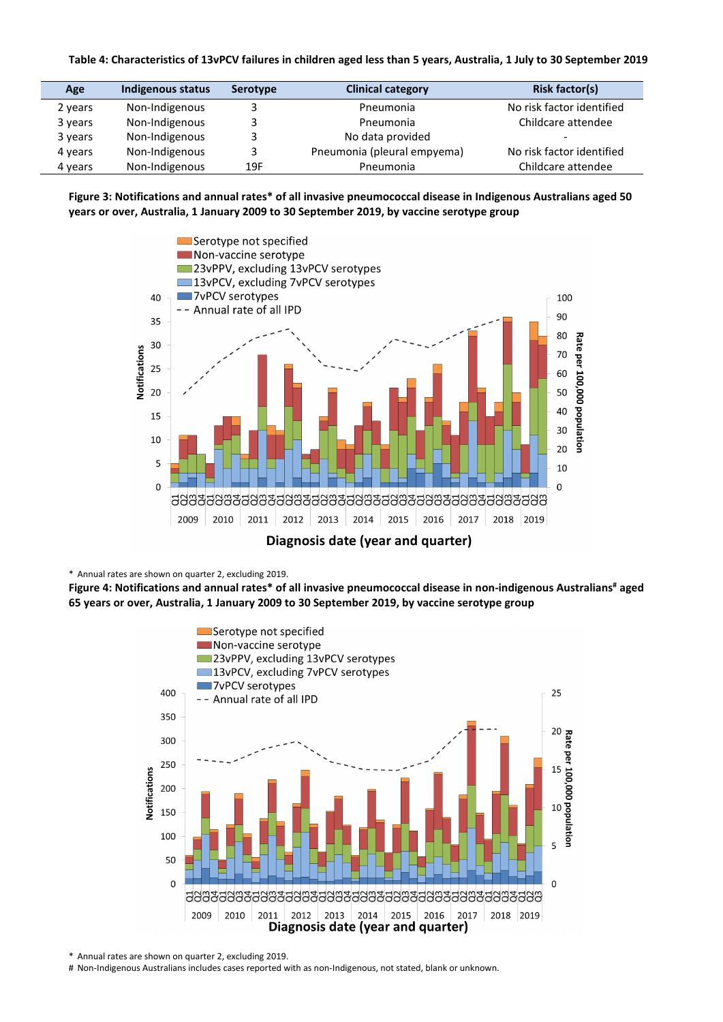#### <span id="page-5-0"></span>**Table 4: Characteristics of 13vPCV failures in children aged less than 5 years, Australia, 1 July to 30 September 2019**

| Age     | Indigenous status | <b>Serotype</b> | <b>Clinical category</b>    | <b>Risk factor(s)</b>     |
|---------|-------------------|-----------------|-----------------------------|---------------------------|
| 2 years | Non-Indigenous    |                 | Pneumonia                   | No risk factor identified |
| 3 years | Non-Indigenous    |                 | Pneumonia                   | Childcare attendee        |
| 3 years | Non-Indigenous    |                 | No data provided            |                           |
| 4 years | Non-Indigenous    | 3               | Pneumonia (pleural empyema) | No risk factor identified |
| 4 years | Non-Indigenous    | 19F             | Pneumonia                   | Childcare attendee        |

#### <span id="page-5-1"></span>**Figure 3: Notifications and annual rates\* of all invasive pneumococcal disease in Indigenous Australians aged 50 years or over, Australia, 1 January 2009 to 30 September 2019, by vaccine serotype group**



#### \* Annual rates are shown on quarter 2, excluding 2019.

<span id="page-5-2"></span>**Figure 4: Notifications and annual rates\* of all invasive pneumococcal disease in non-indigenous Australians# aged 65 years or over, Australia, 1 January 2009 to 30 September 2019, by vaccine serotype group**



\* Annual rates are shown on quarter 2, excluding 2019.

# Non-Indigenous Australians includes cases reported with as non-Indigenous, not stated, blank or unknown.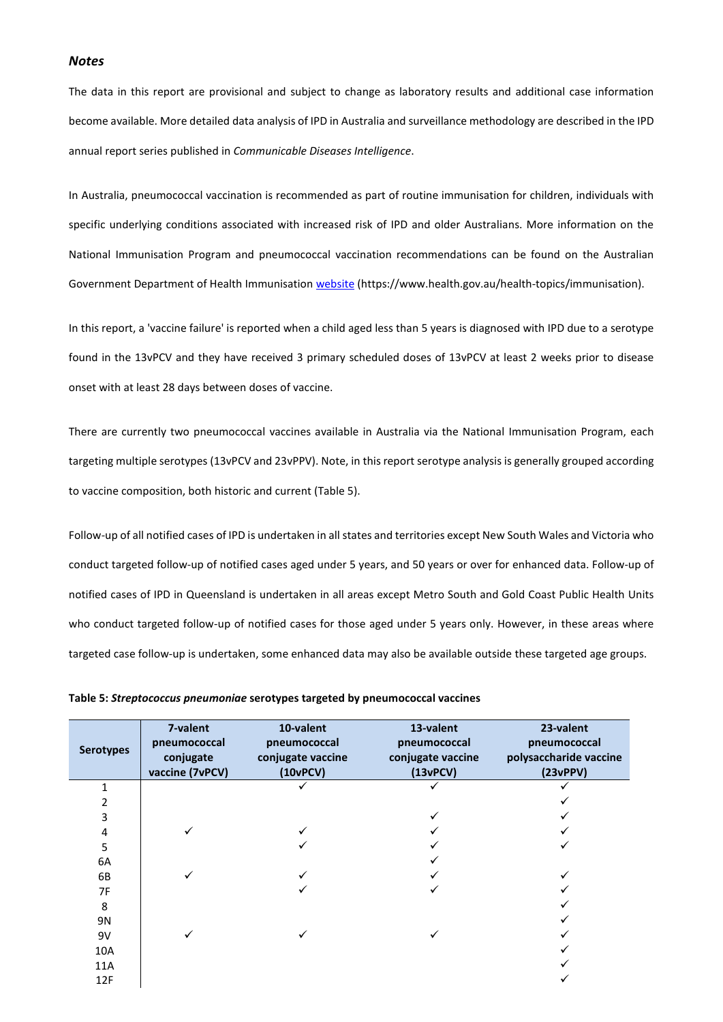#### *Notes*

The data in this report are provisional and subject to change as laboratory results and additional case information become available. More detailed data analysis of IPD in Australia and surveillance methodology are described in the IPD annual report series published in *Communicable Diseases Intelligence*.

In Australia, pneumococcal vaccination is recommended as part of routine immunisation for children, individuals with specific underlying conditions associated with increased risk of IPD and older Australians. More information on the National Immunisation Program and pneumococcal vaccination recommendations can be found on the Australian Government Department of Health Immunisation [website](https://www.health.gov.au/health-topics/immunisation) (https://www.health.gov.au/health-topics/immunisation).

In this report, a 'vaccine failure' is reported when a child aged less than 5 years is diagnosed with IPD due to a serotype found in the 13vPCV and they have received 3 primary scheduled doses of 13vPCV at least 2 weeks prior to disease onset with at least 28 days between doses of vaccine.

There are currently two pneumococcal vaccines available in Australia via the National Immunisation Program, each targeting multiple serotypes (13vPCV and 23vPPV). Note, in this report serotype analysis is generally grouped according to vaccine composition, both historic and current (Table 5).

Follow-up of all notified cases of IPD is undertaken in all states and territories except New South Wales and Victoria who conduct targeted follow-up of notified cases aged under 5 years, and 50 years or over for enhanced data. Follow-up of notified cases of IPD in Queensland is undertaken in all areas except Metro South and Gold Coast Public Health Units who conduct targeted follow-up of notified cases for those aged under 5 years only. However, in these areas where targeted case follow-up is undertaken, some enhanced data may also be available outside these targeted age groups.

| <b>Serotypes</b> | 7-valent<br>pneumococcal<br>conjugate<br>vaccine (7vPCV) | 10-valent<br>pneumococcal<br>conjugate vaccine<br>(10vPCV) | 13-valent<br>pneumococcal<br>conjugate vaccine<br>(13vPCV) | 23-valent<br>pneumococcal<br>polysaccharide vaccine<br>(23vPPV) |
|------------------|----------------------------------------------------------|------------------------------------------------------------|------------------------------------------------------------|-----------------------------------------------------------------|
| 1                |                                                          |                                                            |                                                            |                                                                 |
| 2                |                                                          |                                                            |                                                            |                                                                 |
| 3                |                                                          |                                                            |                                                            |                                                                 |
| 4                |                                                          |                                                            |                                                            |                                                                 |
| 5                |                                                          |                                                            |                                                            |                                                                 |
| 6A               |                                                          |                                                            |                                                            |                                                                 |
| 6B               |                                                          |                                                            |                                                            |                                                                 |
| 7F               |                                                          |                                                            |                                                            |                                                                 |
| 8                |                                                          |                                                            |                                                            |                                                                 |
| 9N               |                                                          |                                                            |                                                            |                                                                 |
| 9V               |                                                          |                                                            |                                                            |                                                                 |
| 10A              |                                                          |                                                            |                                                            |                                                                 |
| 11A              |                                                          |                                                            |                                                            |                                                                 |
| 12F              |                                                          |                                                            |                                                            |                                                                 |

**Table 5:** *Streptococcus pneumoniae* **serotypes targeted by pneumococcal vaccines**